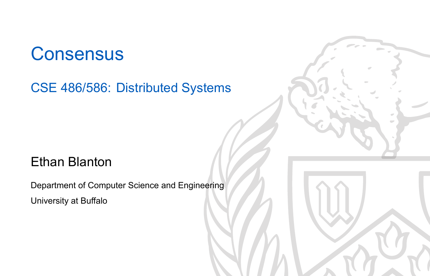### **Consensus**

CSE 486/586: Distributed Systems

#### Ethan Blanton

Department of Computer Science and Engineering University at Buffalo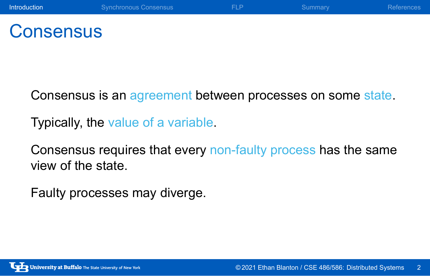### **Consensus**

Consensus is an agreement between processes on some state.

Typically, the value of a variable.

Consensus requires that every non-faulty process has the same view of the state.

Faulty processes may diverge.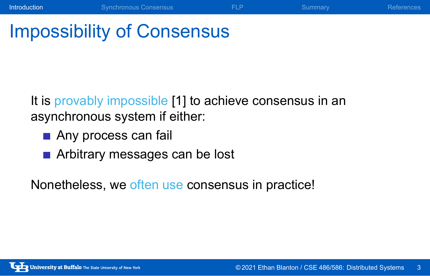# Impossibility of Consensus

It is provably impossible [1] to achieve consensus in an asynchronous system if either:

**Introduction** Synchronous Consensus **FLP** Summary References

- Any process can fail
- Arbitrary messages can be lost

Nonetheless, we often use consensus in practice!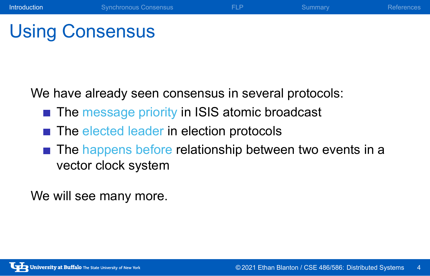### Using Consensus

We have already seen consensus in several protocols:

- The message priority in ISIS atomic broadcast
- The elected leader in election protocols
- The happens before relationship between two events in a vector clock system

**Introduction** Synchronous Consensus **FLP** Summary References

We will see many more.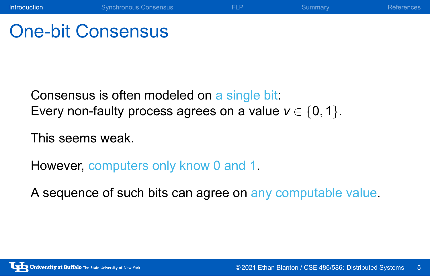### One-bit Consensus

Consensus is often modeled on a single bit: Every non-faulty process agrees on a value  $v \in \{0, 1\}$ .

This seems weak.

However, computers only know 0 and 1.

A sequence of such bits can agree on any computable value.

**Introduction** Synchronous Consensus **FLP** Summary References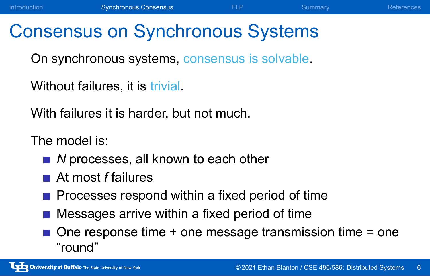### Consensus on Synchronous Systems

On synchronous systems, consensus is solvable.

Without failures, it is trivial.

With failures it is harder, but not much.

The model is:

- *N* processes, all known to each other
- At most *f* failures
- $\blacksquare$  Processes respond within a fixed period of time
- **Messages arrive within a fixed period of time**
- $\blacksquare$  One response time + one message transmission time = one "round"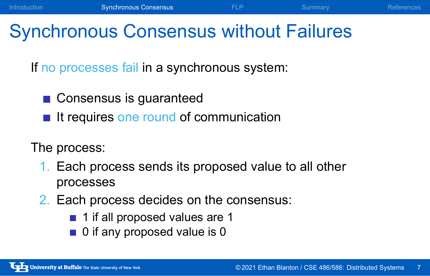### Synchronous Consensus without Failures

If no processes fail in a synchronous system:

- Consensus is guaranteed
- $\blacksquare$  It requires one round of communication

#### The process:

- 1. Each process sends its proposed value to all other processes
- 2. Each process decides on the consensus:
	- 1 if all proposed values are 1
	- 0 if any proposed value is 0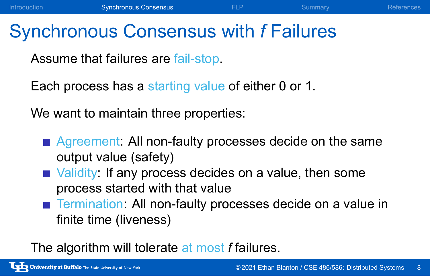### Synchronous Consensus with *f* Failures

Assume that failures are fail-stop.

Each process has a starting value of either 0 or 1.

We want to maintain three properties:

- **Agreement: All non-faulty processes decide on the same** output value (safety)
- Validity: If any process decides on a value, then some process started with that value
- Termination: All non-faulty processes decide on a value in finite time (liveness)

The algorithm will tolerate at most *f* failures.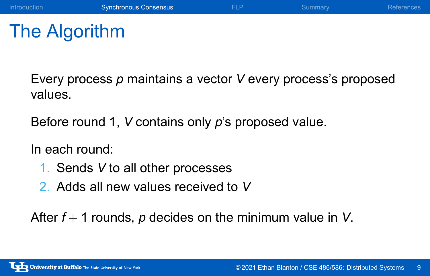# The Algorithm

Every process *p* maintains a vector *V* every process's proposed values.

Introduction **Synchronous Consensus FLP** Summary References

Before round 1, *V* contains only *p*'s proposed value.

In each round:

- 1. Sends *V* to all other processes
- 2. Adds all new values received to *V*

After *f* + 1 rounds, *p* decides on the minimum value in *V*.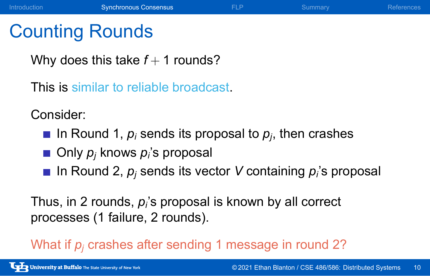### Counting Rounds

Why does this take  $f + 1$  rounds?

This is similar to reliable broadcast.

Consider:

- In Round 1, *p<sup>i</sup>* sends its proposal to *p<sup>j</sup>* , then crashes
- Only *p<sup>j</sup>* knows *p<sup>i</sup>* 's proposal
- In Round 2, *p<sup>j</sup>* sends its vector *V* containing *p<sup>i</sup>* 's proposal

Thus, in 2 rounds, *p<sup>i</sup>* 's proposal is known by all correct processes (1 failure, 2 rounds).

What if  $p_i$  crashes after sending 1 message in round 2?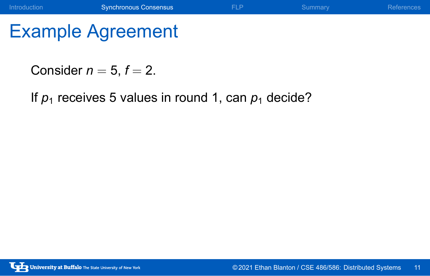Consider  $n = 5$ ,  $f = 2$ .

If  $p_1$  receives 5 values in round 1, can  $p_1$  decide?

Introduction **Synchronous Consensus** FLP Summary References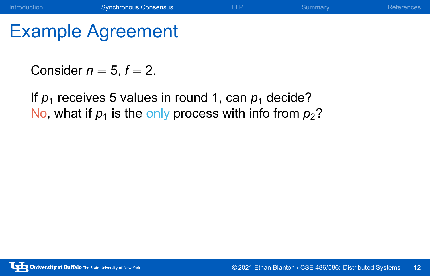Consider  $n = 5$ ,  $f = 2$ .

If  $p_1$  receives 5 values in round 1, can  $p_1$  decide? No, what if  $p_1$  is the only process with info from  $p_2$ ?

Introduction **Synchronous Consensus** FLP Summary References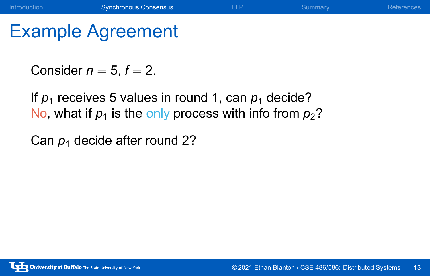Consider  $n = 5$ ,  $f = 2$ .

If  $p_1$  receives 5 values in round 1, can  $p_1$  decide? No, what if  $p_1$  is the only process with info from  $p_2$ ?

Introduction Synchronous Consensus **FLP** Summary References

Can  $p_1$  decide after round 2?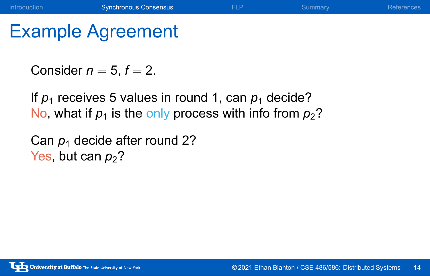Consider  $n = 5$ ,  $f = 2$ .

If  $p_1$  receives 5 values in round 1, can  $p_1$  decide? No, what if  $p_1$  is the only process with info from  $p_2$ ?

Introduction Synchronous Consensus **FLP** Summary References

Can  $p_1$  decide after round 2? Yes, but can  $p_2$ ?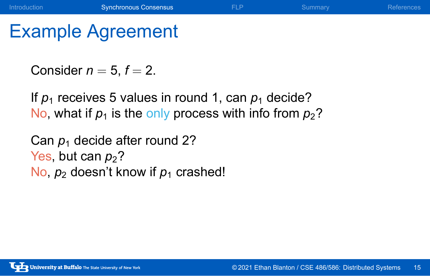Consider  $n = 5$ ,  $f = 2$ .

If  $p_1$  receives 5 values in round 1, can  $p_1$  decide? No, what if  $p_1$  is the only process with info from  $p_2$ ?

Introduction Synchronous Consensus **FLP** Summary References

Can  $p_1$  decide after round 2? Yes, but can  $p_2$ ? No,  $p_2$  doesn't know if  $p_1$  crashed!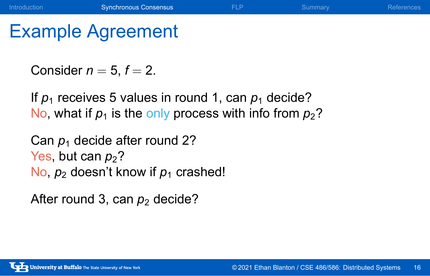Consider  $n = 5$ ,  $f = 2$ .

If  $p_1$  receives 5 values in round 1, can  $p_1$  decide? No, what if  $p_1$  is the only process with info from  $p_2$ ?

Introduction Synchronous Consensus **FLP** Summary References

Can  $p_1$  decide after round 2? Yes, but can  $p_2$ ? No,  $p_2$  doesn't know if  $p_1$  crashed!

After round 3, can  $p_2$  decide?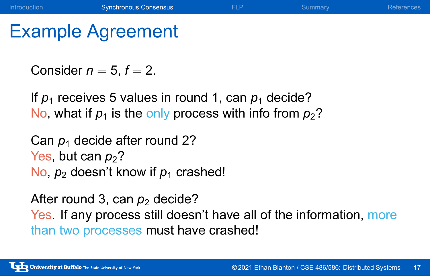Consider  $n = 5$ ,  $f = 2$ .

If  $p_1$  receives 5 values in round 1, can  $p_1$  decide? No, what if  $p_1$  is the only process with info from  $p_2$ ?

Can  $p_1$  decide after round 2? Yes, but can  $p_2$ ? No,  $p_2$  doesn't know if  $p_1$  crashed!

After round 3, can  $p_2$  decide? Yes. If any process still doesn't have all of the information, more than two processes must have crashed!

Introduction **Synchronous Consensus** FLP Summary References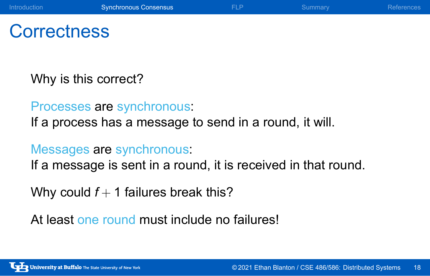### **Correctness**

Why is this correct?

Processes are synchronous: If a process has a message to send in a round, it will.

### Messages are synchronous:

If a message is sent in a round, it is received in that round.

Why could  $f + 1$  failures break this?

At least one round must include no failures!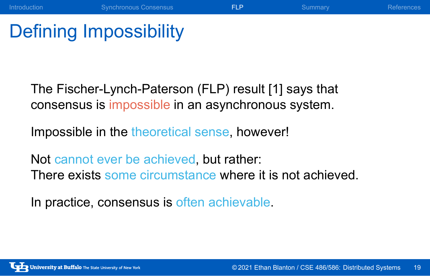### Defining Impossibility

The Fischer-Lynch-Paterson (FLP) result [1] says that consensus is impossible in an asynchronous system.

Impossible in the theoretical sense, however!

Not cannot ever be achieved, but rather: There exists some circumstance where it is not achieved.

In practice, consensus is often achievable.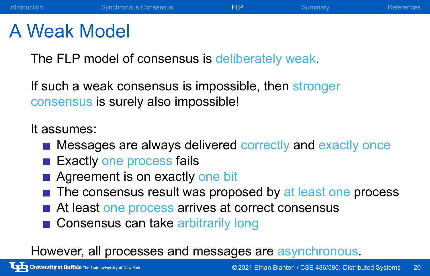### A Weak Model

The FLP model of consensus is deliberately weak.

If such a weak consensus is impossible, then stronger consensus is surely also impossible!

It assumes:

**Messages are always delivered correctly and exactly once** 

Introduction **Synchronous Consensus FLP** Summary References

- Exactly one process fails
- **Agreement is on exactly one bit**
- $\blacksquare$  The consensus result was proposed by at least one process
- At least one process arrives at correct consensus
- Consensus can take arbitrarily long

However, all processes and messages are asynchronous.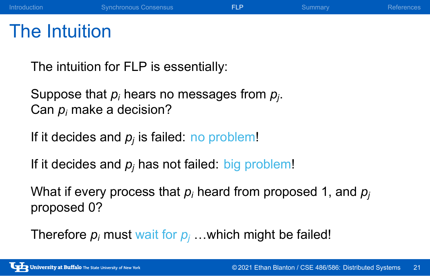### The Intuition

The intuition for FLP is essentially:

Suppose that *p<sup>i</sup>* hears no messages from *p<sup>j</sup>* . Can *p<sup>i</sup>* make a decision?

If it decides and *p<sup>j</sup>* is failed: no problem!

If it decides and  $p_j$  has not failed: big problem!

What if every process that *p<sup>i</sup>* heard from proposed 1, and *p<sup>j</sup>* proposed 0?

Introduction Synchronous Consensus **FLP** Summary References

Therefore  $p_i$  must wait for  $p_j$  ... which might be failed!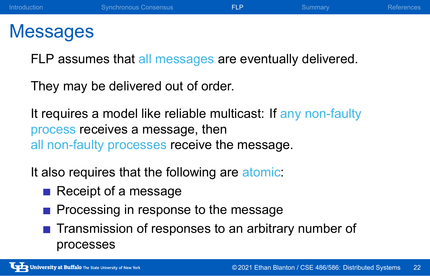### Messages

FLP assumes that all messages are eventually delivered.

They may be delivered out of order.

It requires a model like reliable multicast: If any non-faulty process receives a message, then all non-faulty processes receive the message.

It also requires that the following are atomic:

- Receipt of a message
- Processing in response to the message
- **Transmission of responses to an arbitrary number of** processes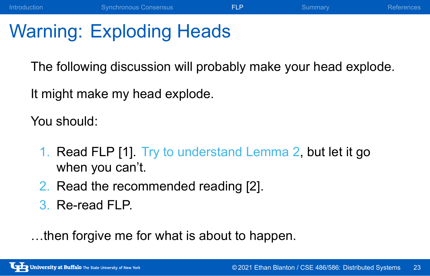### Warning: Exploding Heads

The following discussion will probably make your head explode.

Introduction Synchronous Consensus **FLP** Summary Summary References

It might make my head explode.

You should:

- 1. Read FLP [1]. Try to understand Lemma 2, but let it go when you can't.
- 2. Read the recommended reading [2].
- 3. Re-read FLP.

…then forgive me for what is about to happen.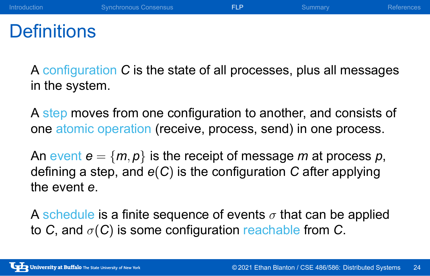# **Definitions**

A configuration *C* is the state of all processes, plus all messages in the system.

Introduction **Synchronous Consensus FLP** Summary References

A step moves from one configuration to another, and consists of one atomic operation (receive, process, send) in one process.

An event  $e = \{m, p\}$  is the receipt of message *m* at process *p*, defining a step, and *e*(*C*) is the configuration *C* after applying the event *e*.

A schedule is a finite sequence of events *σ* that can be applied to *C*, and *σ*(*C*) is some configuration reachable from *C*.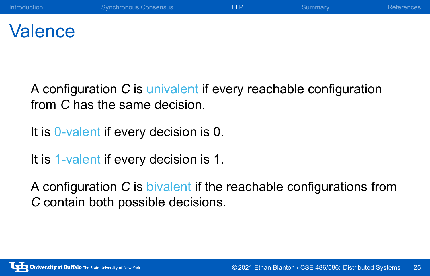### **Valence**

A configuration *C* is univalent if every reachable configuration from *C* has the same decision.

It is 0-valent if every decision is 0.

It is 1-valent if every decision is 1.

A configuration *C* is bivalent if the reachable configurations from *C* contain both possible decisions.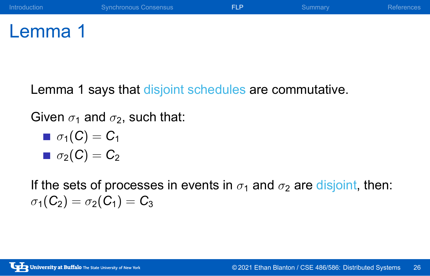# Lemma 1

Lemma 1 says that disjoint schedules are commutative.

Given  $\sigma_1$  and  $\sigma_2$ , such that:

- $\sigma_1(C) = C_1$
- $\sigma_2(C) = C_2$

If the sets of processes in events in  $\sigma_1$  and  $\sigma_2$  are disjoint, then:  $\sigma_1(C_2) = \sigma_2(C_1) = C_3$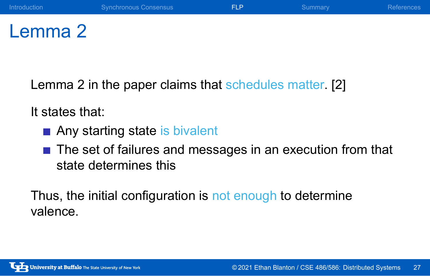# Lemma 2

Lemma 2 in the paper claims that schedules matter. [2]

It states that:

- Any starting state is bivalent
- The set of failures and messages in an execution from that state determines this

Thus, the initial configuration is not enough to determine valence.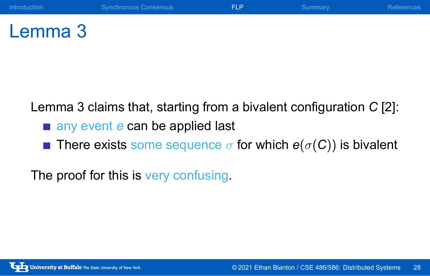# Lemma 3

Lemma 3 claims that, starting from a bivalent configuration *C* [2]:

- any event *e* can be applied last
- **n** There exists some sequence  $\sigma$  for which  $e(\sigma(C))$  is bivalent

The proof for this is very confusing.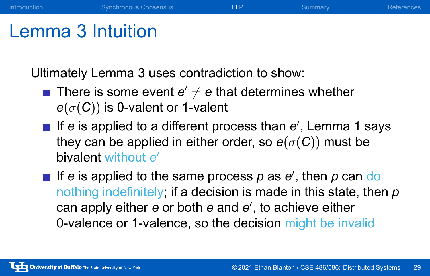### Lemma 3 Intuition

Ultimately Lemma 3 uses contradiction to show:

- There is some event  $\boldsymbol{e}'\neq \boldsymbol{e}$  that determines whether *e*(*σ*(*C*)) is 0-valent or 1-valent
- If *e* is applied to a different process than *e ′* , Lemma 1 says they can be applied in either order, so  $e(\sigma(C))$  must be bivalent without *e ′*

Introduction Synchronous Consensus FLP Summary Summary References

If *e* is applied to the same process *p* as *e ′* , then *p* can do nothing indefinitely; if a decision is made in this state, then *p* can apply either *e* or both *e* and *e ′* , to achieve either 0-valence or 1-valence, so the decision might be invalid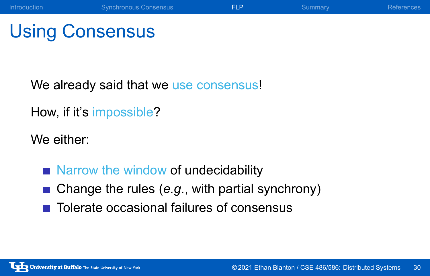### Using Consensus

We already said that we use consensus!

How, if it's impossible?

We either:

- Narrow the window of undecidability
- Change the rules (*e.g.*, with partial synchrony)

Introduction Synchronous Consensus **FLP** Summary References

■ Tolerate occasional failures of consensus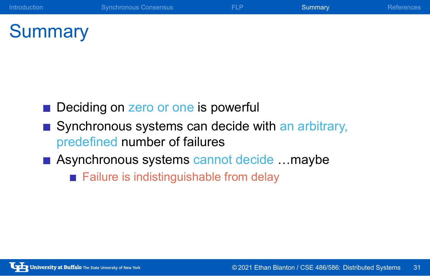# **Summary**

- Deciding on zero or one is powerful
- Synchronous systems can decide with an arbitrary, predefined number of failures
- Asynchronous systems cannot decide ... maybe
	- Failure is indistinguishable from delay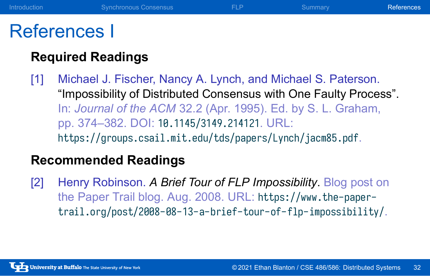### References I

### **Required Readings**

[1] Michael J. Fischer, Nancy A. Lynch, and Michael S. Paterson. "Impossibility of Distributed Consensus with One Faulty Process". In: *Journal of the ACM* 32.2 (Apr. 1995). Ed. by S. L. Graham, pp. 374–382. DOI: 10.1145/3149.214121. URL: https://groups.csail.mit.edu/tds/papers/Lynch/jacm85.pdf.

Introduction **Synchronous Consensus** FLP Summary **References** 

#### **Recommended Readings**

[2] Henry Robinson. *A Brief Tour of FLP Impossibility*. Blog post on the Paper Trail blog. Aug. 2008. URL: https://www.the-papertrail.org/post/2008-08-13-a-brief-tour-of-flp-impossibility/.